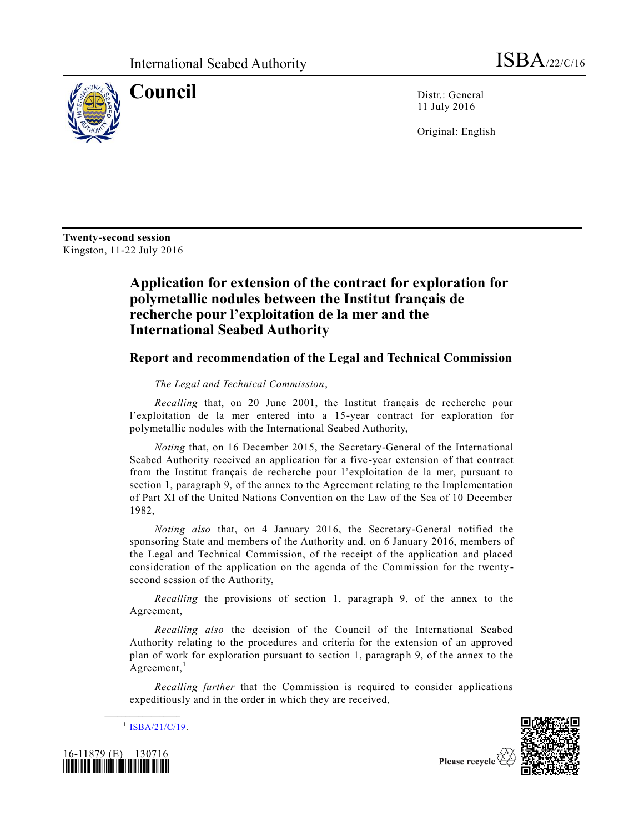

**Council** Distr.: General 11 July 2016

Original: English

**Twenty-second session** Kingston, 11-22 July 2016

## **Application for extension of the contract for exploration for polymetallic nodules between the Institut français de recherche pour l'exploitation de la mer and the International Seabed Authority**

## **Report and recommendation of the Legal and Technical Commission**

## *The Legal and Technical Commission*,

*Recalling* that, on 20 June 2001, the Institut français de recherche pour l'exploitation de la mer entered into a 15-year contract for exploration for polymetallic nodules with the International Seabed Authority,

*Noting* that, on 16 December 2015, the Secretary-General of the International Seabed Authority received an application for a five-year extension of that contract from the Institut français de recherche pour l'exploitation de la mer, pursuant to section 1, paragraph 9, of the annex to the Agreement relating to the Implementation of Part XI of the United Nations Convention on the Law of the Sea of 10 December 1982,

*Noting also* that, on 4 January 2016, the Secretary-General notified the sponsoring State and members of the Authority and, on 6 January 2016, members of the Legal and Technical Commission, of the receipt of the application and placed consideration of the application on the agenda of the Commission for the twentysecond session of the Authority,

*Recalling* the provisions of section 1, paragraph 9, of the annex to the Agreement,

*Recalling also* the decision of the Council of the International Seabed Authority relating to the procedures and criteria for the extension of an approved plan of work for exploration pursuant to section 1, paragraph 9, of the annex to the Agreement, $<sup>1</sup>$ </sup>

*Recalling further* that the Commission is required to consider applications expeditiously and in the order in which they are received,

 $^{1}$  [ISBA/21/C/19.](http://undocs.org/ISBA/21/C/19)

**\_\_\_\_\_\_\_\_\_\_\_\_\_\_\_\_\_\_**





Please recycle